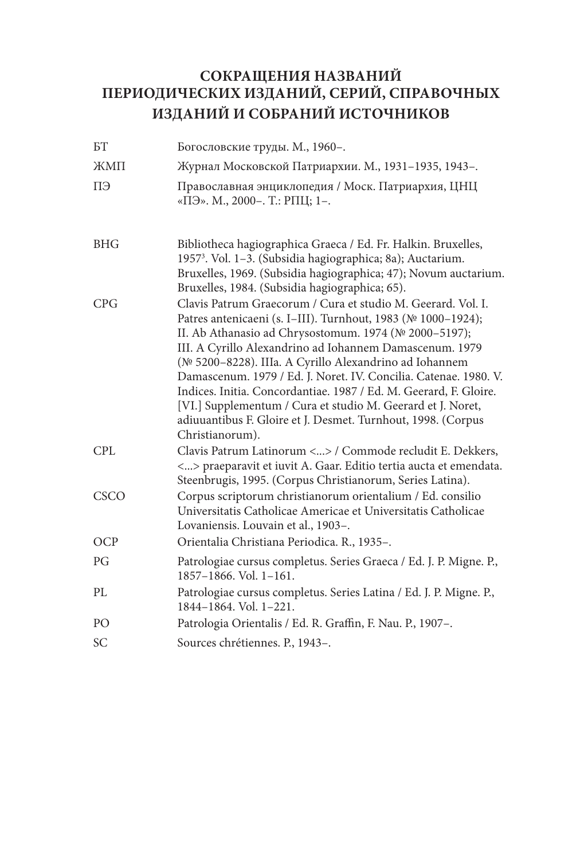## **СОКРАЩЕНИЯ НАЗВАНИЙ ПЕРИОДИЧЕСКИХ ИЗДАНИЙ, СЕРИЙ, СПРАВОЧНЫХ ИЗДАНИЙ И СОБРАНИЙ ИСТОЧНИКОВ**

| БT         | Богословские труды. М., 1960-.                                                                                                                                                                                                                                                                                                                                                                                                                                                                                                                                                                        |
|------------|-------------------------------------------------------------------------------------------------------------------------------------------------------------------------------------------------------------------------------------------------------------------------------------------------------------------------------------------------------------------------------------------------------------------------------------------------------------------------------------------------------------------------------------------------------------------------------------------------------|
| ЖМП        | Журнал Московской Патриархии. М., 1931-1935, 1943-.                                                                                                                                                                                                                                                                                                                                                                                                                                                                                                                                                   |
| ΠЭ         | Православная энциклопедия / Моск. Патриархия, ЦНЦ<br>«ПЭ». М., 2000-. Т.: РПЦ; 1-.                                                                                                                                                                                                                                                                                                                                                                                                                                                                                                                    |
| <b>BHG</b> | Bibliotheca hagiographica Graeca / Ed. Fr. Halkin. Bruxelles,<br>1957 <sup>3</sup> . Vol. 1-3. (Subsidia hagiographica; 8a); Auctarium.<br>Bruxelles, 1969. (Subsidia hagiographica; 47); Novum auctarium.<br>Bruxelles, 1984. (Subsidia hagiographica; 65).                                                                                                                                                                                                                                                                                                                                          |
| CPG        | Clavis Patrum Graecorum / Cura et studio M. Geerard. Vol. I.<br>Patres antenicaeni (s. I-III). Turnhout, 1983 (№ 1000-1924);<br>II. Ab Athanasio ad Chrysostomum. 1974 (№ 2000-5197);<br>III. A Cyrillo Alexandrino ad Iohannem Damascenum. 1979<br>(№ 5200-8228). IIIa. A Cyrillo Alexandrino ad Iohannem<br>Damascenum. 1979 / Ed. J. Noret. IV. Concilia. Catenae. 1980. V.<br>Indices. Initia. Concordantiae. 1987 / Ed. M. Geerard, F. Gloire.<br>[VI.] Supplementum / Cura et studio M. Geerard et J. Noret,<br>adiuuantibus F. Gloire et J. Desmet. Turnhout, 1998. (Corpus<br>Christianorum). |
| CPL        | Clavis Patrum Latinorum <> / Commode recludit E. Dekkers,<br><> praeparavit et iuvit A. Gaar. Editio tertia aucta et emendata.<br>Steenbrugis, 1995. (Corpus Christianorum, Series Latina).                                                                                                                                                                                                                                                                                                                                                                                                           |
| CSCO       | Corpus scriptorum christianorum orientalium / Ed. consilio<br>Universitatis Catholicae Americae et Universitatis Catholicae<br>Lovaniensis. Louvain et al., 1903-.                                                                                                                                                                                                                                                                                                                                                                                                                                    |
| OCP        | Orientalia Christiana Periodica. R., 1935-.                                                                                                                                                                                                                                                                                                                                                                                                                                                                                                                                                           |
| PG         | Patrologiae cursus completus. Series Graeca / Ed. J. P. Migne. P.,<br>1857-1866. Vol. 1-161.                                                                                                                                                                                                                                                                                                                                                                                                                                                                                                          |
| PL         | Patrologiae cursus completus. Series Latina / Ed. J. P. Migne. P.,<br>1844-1864. Vol. 1-221.                                                                                                                                                                                                                                                                                                                                                                                                                                                                                                          |
| PО         | Patrologia Orientalis / Ed. R. Graffin, F. Nau. P., 1907-.                                                                                                                                                                                                                                                                                                                                                                                                                                                                                                                                            |
| SС         | Sources chrétiennes. P., 1943-.                                                                                                                                                                                                                                                                                                                                                                                                                                                                                                                                                                       |